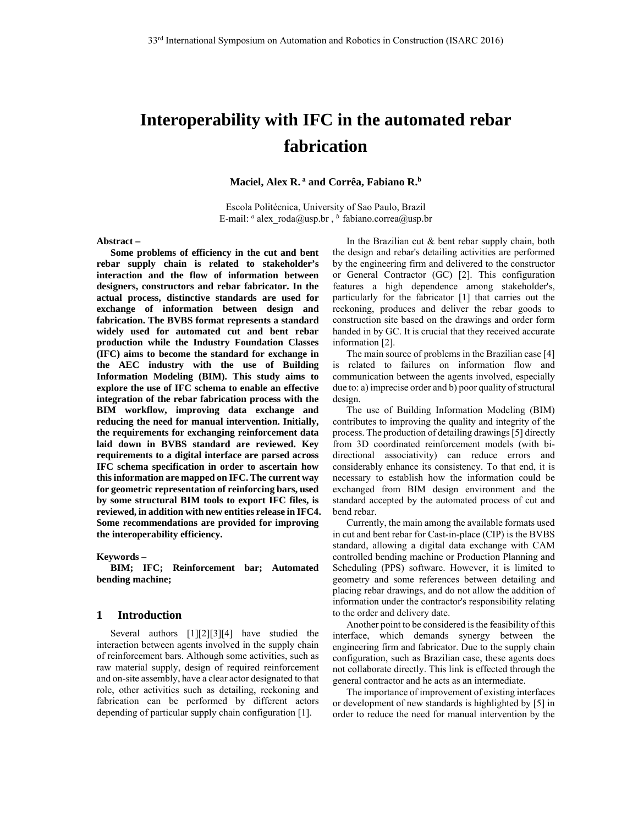# **Interoperability with IFC in the automated rebar fabrication**

Maciel, Alex R.<sup>a</sup> and Corrêa, Fabiano R.<sup>b</sup>

Escola Politécnica, University of Sao Paulo, Brazil E-mail: *a* alex roda@usp.br, *b* fabiano.correa@usp.br

#### **Abstract –**

**Some problems of efficiency in the cut and bent rebar supply chain is related to stakeholder's interaction and the flow of information between designers, constructors and rebar fabricator. In the actual process, distinctive standards are used for exchange of information between design and fabrication. The BVBS format represents a standard widely used for automated cut and bent rebar production while the Industry Foundation Classes (IFC) aims to become the standard for exchange in the AEC industry with the use of Building Information Modeling (BIM). This study aims to explore the use of IFC schema to enable an effective integration of the rebar fabrication process with the BIM workflow, improving data exchange and reducing the need for manual intervention. Initially, the requirements for exchanging reinforcement data laid down in BVBS standard are reviewed. Key requirements to a digital interface are parsed across IFC schema specification in order to ascertain how this information are mapped on IFC. The current way for geometric representation of reinforcing bars, used by some structural BIM tools to export IFC files, is reviewed, in addition with new entities release in IFC4. Some recommendations are provided for improving the interoperability efficiency.** 

#### **Keywords –**

**BIM; IFC; Reinforcement bar; Automated bending machine;** 

## **1 Introduction**

Several authors [1][2][3][4] have studied the interaction between agents involved in the supply chain of reinforcement bars. Although some activities, such as raw material supply, design of required reinforcement and on-site assembly, have a clear actor designated to that role, other activities such as detailing, reckoning and fabrication can be performed by different actors depending of particular supply chain configuration [1].

In the Brazilian cut & bent rebar supply chain, both the design and rebar's detailing activities are performed by the engineering firm and delivered to the constructor or General Contractor (GC) [2]. This configuration features a high dependence among stakeholder's, particularly for the fabricator [1] that carries out the reckoning, produces and deliver the rebar goods to construction site based on the drawings and order form handed in by GC. It is crucial that they received accurate information [2].

The main source of problems in the Brazilian case [4] is related to failures on information flow and communication between the agents involved, especially due to: a) imprecise order and b) poor quality of structural design.

The use of Building Information Modeling (BIM) contributes to improving the quality and integrity of the process. The production of detailing drawings [5] directly from 3D coordinated reinforcement models (with bidirectional associativity) can reduce errors and considerably enhance its consistency. To that end, it is necessary to establish how the information could be exchanged from BIM design environment and the standard accepted by the automated process of cut and bend rebar.

Currently, the main among the available formats used in cut and bent rebar for Cast-in-place (CIP) is the BVBS standard, allowing a digital data exchange with CAM controlled bending machine or Production Planning and Scheduling (PPS) software. However, it is limited to geometry and some references between detailing and placing rebar drawings, and do not allow the addition of information under the contractor's responsibility relating to the order and delivery date.

Another point to be considered is the feasibility of this interface, which demands synergy between the engineering firm and fabricator. Due to the supply chain configuration, such as Brazilian case, these agents does not collaborate directly. This link is effected through the general contractor and he acts as an intermediate.

The importance of improvement of existing interfaces or development of new standards is highlighted by [5] in order to reduce the need for manual intervention by the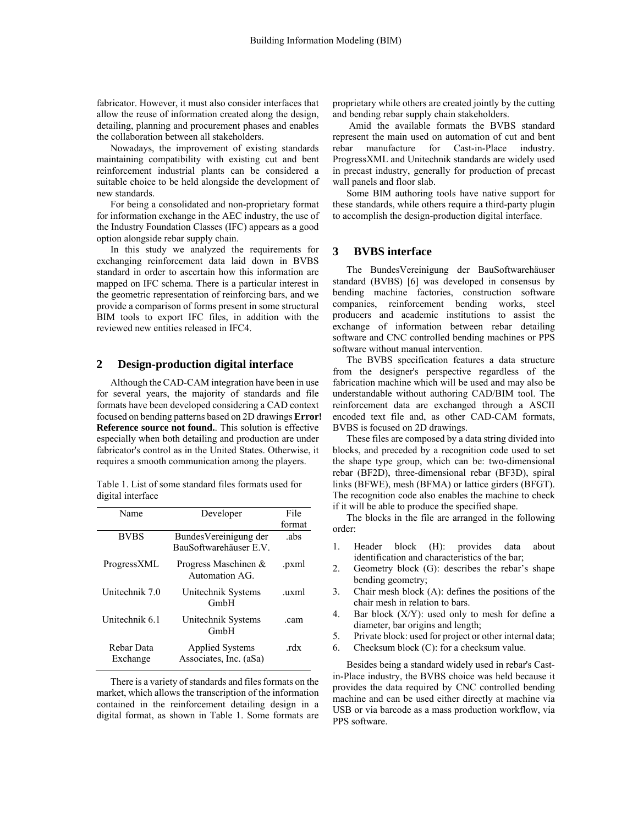fabricator. However, it must also consider interfaces that allow the reuse of information created along the design, detailing, planning and procurement phases and enables the collaboration between all stakeholders.

Nowadays, the improvement of existing standards maintaining compatibility with existing cut and bent reinforcement industrial plants can be considered a suitable choice to be held alongside the development of new standards.

For being a consolidated and non-proprietary format for information exchange in the AEC industry, the use of the Industry Foundation Classes (IFC) appears as a good option alongside rebar supply chain.

In this study we analyzed the requirements for exchanging reinforcement data laid down in BVBS standard in order to ascertain how this information are mapped on IFC schema. There is a particular interest in the geometric representation of reinforcing bars, and we provide a comparison of forms present in some structural BIM tools to export IFC files, in addition with the reviewed new entities released in IFC4.

#### **2 Design-production digital interface**

Although the CAD-CAM integration have been in use for several years, the majority of standards and file formats have been developed considering a CAD context focused on bending patterns based on 2D drawings **Error! Reference source not found.**. This solution is effective especially when both detailing and production are under fabricator's control as in the United States. Otherwise, it requires a smooth communication among the players.

Table 1. List of some standard files formats used for digital interface

| Name                   | Developer                                        | File   |
|------------------------|--------------------------------------------------|--------|
|                        |                                                  | format |
| <b>BVBS</b>            | Bundes Vereinigung der<br>BauSoftwarehäuser E.V. | .abs   |
| ProgressXML            | Progress Maschinen &<br>Automation AG.           | .pxml  |
| Unitechnik 7.0         | Unitechnik Systems<br>GmbH                       | uxml   |
| Unitechnik 6 1         | Unitechnik Systems<br>GmbH                       | .cam   |
| Rebar Data<br>Exchange | <b>Applied Systems</b><br>Associates, Inc. (aSa) | rdx    |

There is a variety of standards and files formats on the market, which allows the transcription of the information contained in the reinforcement detailing design in a digital format, as shown in Table 1. Some formats are proprietary while others are created jointly by the cutting and bending rebar supply chain stakeholders.

 Amid the available formats the BVBS standard represent the main used on automation of cut and bent rebar manufacture for Cast-in-Place industry. ProgressXML and Unitechnik standards are widely used in precast industry, generally for production of precast wall panels and floor slab.

Some BIM authoring tools have native support for these standards, while others require a third-party plugin to accomplish the design-production digital interface.

# **3 BVBS interface**

The BundesVereinigung der BauSoftwarehäuser standard (BVBS) [6] was developed in consensus by bending machine factories, construction software companies, reinforcement bending works, steel producers and academic institutions to assist the exchange of information between rebar detailing software and CNC controlled bending machines or PPS software without manual intervention.

The BVBS specification features a data structure from the designer's perspective regardless of the fabrication machine which will be used and may also be understandable without authoring CAD/BIM tool. The reinforcement data are exchanged through a ASCII encoded text file and, as other CAD-CAM formats, BVBS is focused on 2D drawings.

These files are composed by a data string divided into blocks, and preceded by a recognition code used to set the shape type group, which can be: two-dimensional rebar (BF2D), three-dimensional rebar (BF3D), spiral links (BFWE), mesh (BFMA) or lattice girders (BFGT). The recognition code also enables the machine to check if it will be able to produce the specified shape.

The blocks in the file are arranged in the following order:

- 1. Header block (H): provides data about identification and characteristics of the bar;
- 2. Geometry block (G): describes the rebar's shape bending geometry;
- 3. Chair mesh block (A): defines the positions of the chair mesh in relation to bars.
- 4. Bar block  $(X/Y)$ : used only to mesh for define a diameter, bar origins and length;
- 5. Private block: used for project or other internal data;
- 6. Checksum block (C): for a checksum value.

Besides being a standard widely used in rebar's Castin-Place industry, the BVBS choice was held because it provides the data required by CNC controlled bending machine and can be used either directly at machine via USB or via barcode as a mass production workflow, via PPS software.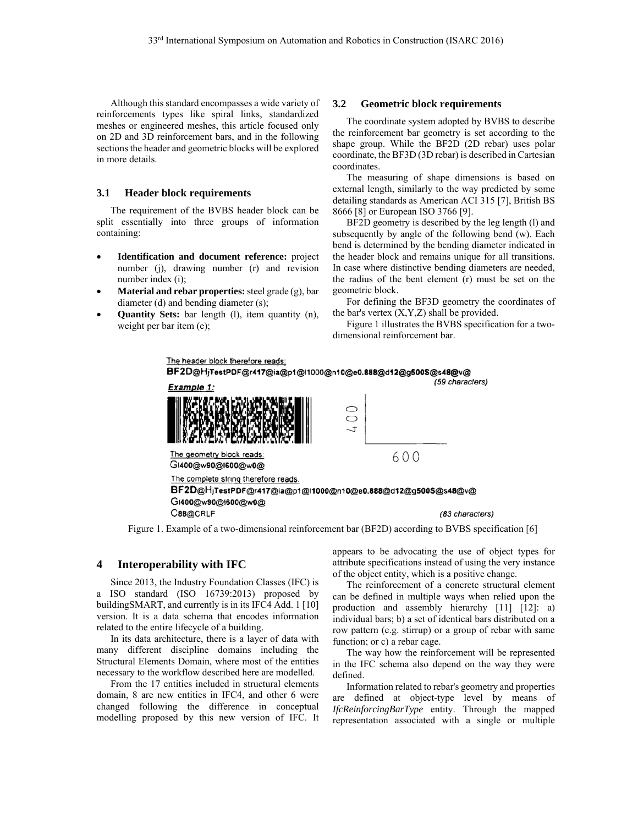Although this standard encompasses a wide variety of reinforcements types like spiral links, standardized meshes or engineered meshes, this article focused only on 2D and 3D reinforcement bars, and in the following sections the header and geometric blocks will be explored in more details.

### **3.1 Header block requirements**

The requirement of the BVBS header block can be split essentially into three groups of information containing:

- **Identification and document reference:** project number (j), drawing number (r) and revision number index (i);
- **Material and rebar properties:** steel grade (g), bar diameter (d) and bending diameter (s);
- **Quantity Sets:** bar length (l), item quantity (n), weight per bar item (e);

#### **3.2 Geometric block requirements**

The coordinate system adopted by BVBS to describe the reinforcement bar geometry is set according to the shape group. While the BF2D (2D rebar) uses polar coordinate, the BF3D (3D rebar) is described in Cartesian coordinates.

The measuring of shape dimensions is based on external length, similarly to the way predicted by some detailing standards as American ACI 315 [7], British BS 8666 [8] or European ISO 3766 [9].

BF2D geometry is described by the leg length (l) and subsequently by angle of the following bend (w). Each bend is determined by the bending diameter indicated in the header block and remains unique for all transitions. In case where distinctive bending diameters are needed, the radius of the bent element (r) must be set on the geometric block.

For defining the BF3D geometry the coordinates of the bar's vertex  $(X, Y, Z)$  shall be provided.

Figure 1 illustrates the BVBS specification for a twodimensional reinforcement bar.



Figure 1. Example of a two-dimensional reinforcement bar (BF2D) according to BVBS specification [6]

## **4 Interoperability with IFC**

Since 2013, the Industry Foundation Classes (IFC) is a ISO standard (ISO 16739:2013) proposed by buildingSMART, and currently is in its IFC4 Add. 1 [10] version. It is a data schema that encodes information related to the entire lifecycle of a building.

In its data architecture, there is a layer of data with many different discipline domains including the Structural Elements Domain, where most of the entities necessary to the workflow described here are modelled.

From the 17 entities included in structural elements domain, 8 are new entities in IFC4, and other 6 were changed following the difference in conceptual modelling proposed by this new version of IFC. It

appears to be advocating the use of object types for attribute specifications instead of using the very instance of the object entity, which is a positive change.

The reinforcement of a concrete structural element can be defined in multiple ways when relied upon the production and assembly hierarchy [11] [12]: a) individual bars; b) a set of identical bars distributed on a row pattern (e.g. stirrup) or a group of rebar with same function; or c) a rebar cage.

The way how the reinforcement will be represented in the IFC schema also depend on the way they were defined.

Information related to rebar's geometry and properties are defined at object-type level by means of *IfcReinforcingBarType* entity. Through the mapped representation associated with a single or multiple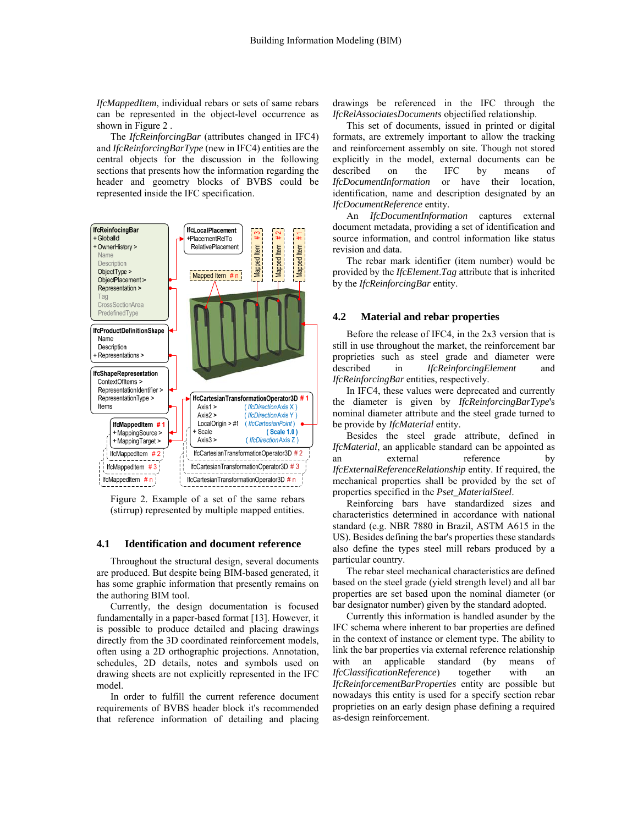*IfcMappedItem*, individual rebars or sets of same rebars can be represented in the object-level occurrence as shown in Figure 2 .

The *IfcReinforcingBar* (attributes changed in IFC4) and *IfcReinforcingBarType* (new in IFC4) entities are the central objects for the discussion in the following sections that presents how the information regarding the header and geometry blocks of BVBS could be represented inside the IFC specification.



Figure 2. Example of a set of the same rebars (stirrup) represented by multiple mapped entities.

## **4.1 Identification and document reference**

Throughout the structural design, several documents are produced. But despite being BIM-based generated, it has some graphic information that presently remains on the authoring BIM tool.

Currently, the design documentation is focused fundamentally in a paper-based format [13]. However, it is possible to produce detailed and placing drawings directly from the 3D coordinated reinforcement models, often using a 2D orthographic projections. Annotation, schedules, 2D details, notes and symbols used on drawing sheets are not explicitly represented in the IFC model.

In order to fulfill the current reference document requirements of BVBS header block it's recommended that reference information of detailing and placing drawings be referenced in the IFC through the *IfcRelAssociatesDocuments* objectified relationship.

This set of documents, issued in printed or digital formats, are extremely important to allow the tracking and reinforcement assembly on site. Though not stored explicitly in the model, external documents can be described on the IFC by means of *IfcDocumentInformation* or have their location, identification, name and description designated by an *IfcDocumentReference* entity.

An *IfcDocumentInformation* captures external document metadata, providing a set of identification and source information, and control information like status revision and data.

The rebar mark identifier (item number) would be provided by the *IfcElement*.*Tag* attribute that is inherited by the *IfcReinforcingBar* entity.

## **4.2 Material and rebar properties**

Before the release of IFC4, in the 2x3 version that is still in use throughout the market, the reinforcement bar proprieties such as steel grade and diameter were described in *IfcReinforcingElement* and *IfcReinforcingBar* entities, respectively.

In IFC4, these values were deprecated and currently the diameter is given by *IfcReinforcingBarType*'s nominal diameter attribute and the steel grade turned to be provide by *IfcMaterial* entity.

Besides the steel grade attribute, defined in *IfcMaterial*, an applicable standard can be appointed as an external reference by *IfcExternalReferenceRelationship* entity. If required, the mechanical properties shall be provided by the set of properties specified in the *Pset\_MaterialSteel*.

Reinforcing bars have standardized sizes and characteristics determined in accordance with national standard (e.g. NBR 7880 in Brazil, ASTM A615 in the US). Besides defining the bar's properties these standards also define the types steel mill rebars produced by a particular country.

The rebar steel mechanical characteristics are defined based on the steel grade (yield strength level) and all bar properties are set based upon the nominal diameter (or bar designator number) given by the standard adopted.

Currently this information is handled asunder by the IFC schema where inherent to bar properties are defined in the context of instance or element type. The ability to link the bar properties via external reference relationship with an applicable standard (by means of *IfcClassificationReference*) together with an *IfcReinforcementBarProperties* entity are possible but nowadays this entity is used for a specify section rebar proprieties on an early design phase defining a required as-design reinforcement.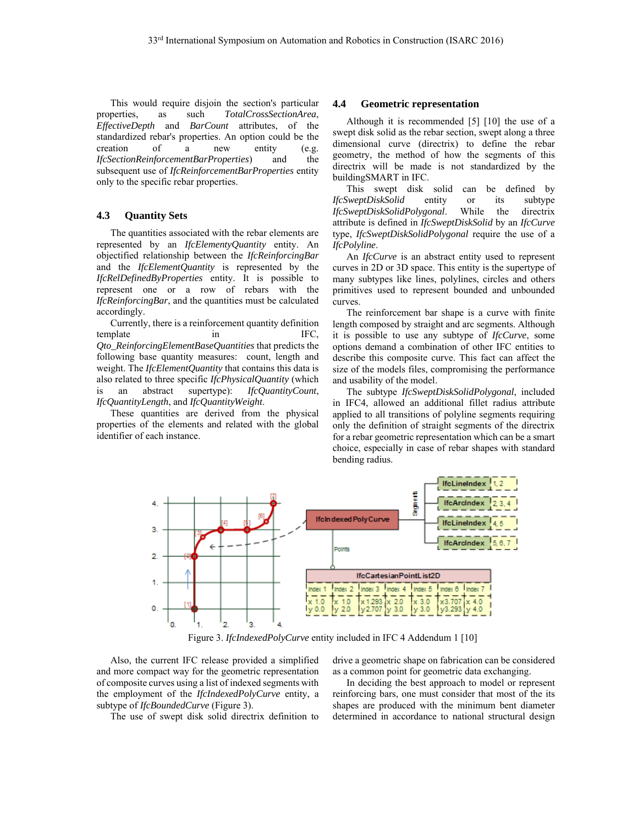This would require disjoin the section's particular properties, as such *TotalCrossSectionArea*, *EffectiveDepth* and *BarCount* attributes, of the standardized rebar's properties. An option could be the creation of a new entity (e.g. *IfcSectionReinforcementBarProperties*) and the subsequent use of *IfcReinforcementBarProperties* entity only to the specific rebar properties.

## **4.3 Quantity Sets**

The quantities associated with the rebar elements are represented by an *IfcElementyQuantity* entity. An objectified relationship between the *IfcReinforcingBar* and the *IfcElementQuantity* is represented by the *IfcRelDefinedByProperties* entity. It is possible to represent one or a row of rebars with the *IfcReinforcingBar*, and the quantities must be calculated accordingly.

Currently, there is a reinforcement quantity definition template in IFC, *Qto\_ReinforcingElementBaseQuantities* that predicts the following base quantity measures: count, length and weight. The *IfcElementQuantity* that contains this data is also related to three specific *IfcPhysicalQuantity* (which is an abstract supertype): *IfcQuantityCount*, *IfcQuantityLength*, and *IfcQuantityWeight*.

These quantities are derived from the physical properties of the elements and related with the global identifier of each instance.

#### **4.4 Geometric representation**

Although it is recommended [5] [10] the use of a swept disk solid as the rebar section, swept along a three dimensional curve (directrix) to define the rebar geometry, the method of how the segments of this directrix will be made is not standardized by the buildingSMART in IFC.

This swept disk solid can be defined by *IfcSweptDiskSolid* entity or its subtype *IfcSweptDiskSolidPolygonal*. While the directrix attribute is defined in *IfcSweptDiskSolid* by an *IfcCurve* type, *IfcSweptDiskSolidPolygonal* require the use of a *IfcPolyline*.

An *IfcCurve* is an abstract entity used to represent curves in 2D or 3D space. This entity is the supertype of many subtypes like lines, polylines, circles and others primitives used to represent bounded and unbounded curves.

The reinforcement bar shape is a curve with finite length composed by straight and arc segments. Although it is possible to use any subtype of *IfcCurve*, some options demand a combination of other IFC entities to describe this composite curve. This fact can affect the size of the models files, compromising the performance and usability of the model.

The subtype *IfcSweptDiskSolidPolygonal*, included in IFC4, allowed an additional fillet radius attribute applied to all transitions of polyline segments requiring only the definition of straight segments of the directrix for a rebar geometric representation which can be a smart choice, especially in case of rebar shapes with standard bending radius.



Figure 3. *IfcIndexedPolyCurve* entity included in IFC 4 Addendum 1 [10]

Also, the current IFC release provided a simplified and more compact way for the geometric representation of composite curves using a list of indexed segments with the employment of the *IfcIndexedPolyCurve* entity, a subtype of *IfcBoundedCurve* (Figure 3).

The use of swept disk solid directrix definition to

drive a geometric shape on fabrication can be considered as a common point for geometric data exchanging.

In deciding the best approach to model or represent reinforcing bars, one must consider that most of the its shapes are produced with the minimum bent diameter determined in accordance to national structural design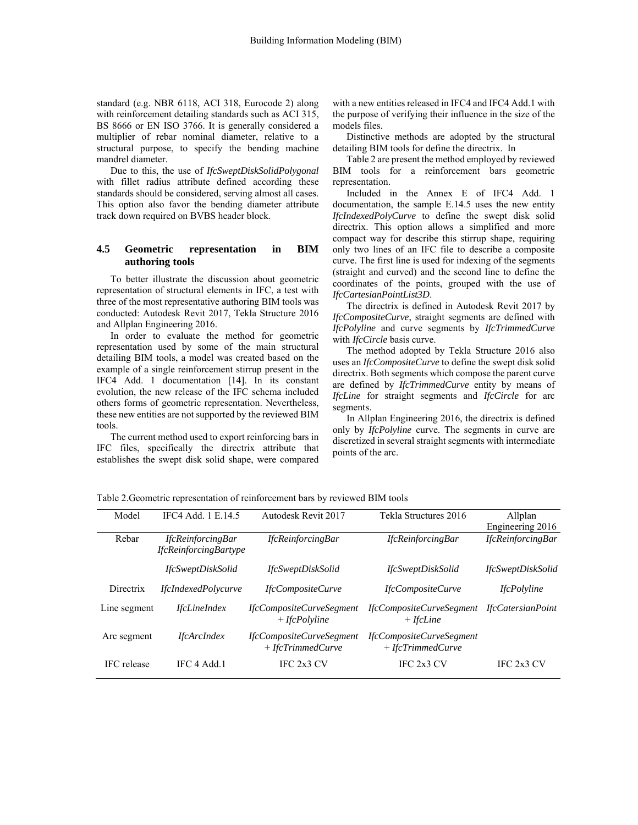standard (e.g. NBR 6118, ACI 318, Eurocode 2) along with reinforcement detailing standards such as ACI 315, BS 8666 or EN ISO 3766. It is generally considered a multiplier of rebar nominal diameter, relative to a structural purpose, to specify the bending machine mandrel diameter.

Due to this, the use of *IfcSweptDiskSolidPolygonal* with fillet radius attribute defined according these standards should be considered, serving almost all cases. This option also favor the bending diameter attribute track down required on BVBS header block.

## **4.5 Geometric representation in BIM authoring tools**

To better illustrate the discussion about geometric representation of structural elements in IFC, a test with three of the most representative authoring BIM tools was conducted: Autodesk Revit 2017, Tekla Structure 2016 and Allplan Engineering 2016.

In order to evaluate the method for geometric representation used by some of the main structural detailing BIM tools, a model was created based on the example of a single reinforcement stirrup present in the IFC4 Add. 1 documentation [14]. In its constant evolution, the new release of the IFC schema included others forms of geometric representation. Nevertheless, these new entities are not supported by the reviewed BIM tools.

The current method used to export reinforcing bars in IFC files, specifically the directrix attribute that establishes the swept disk solid shape, were compared with a new entities released in IFC4 and IFC4 Add.1 with the purpose of verifying their influence in the size of the models files.

Distinctive methods are adopted by the structural detailing BIM tools for define the directrix. In

Table 2 are present the method employed by reviewed BIM tools for a reinforcement bars geometric representation.

Included in the Annex E of IFC4 Add. 1 documentation, the sample E.14.5 uses the new entity *IfcIndexedPolyCurve* to define the swept disk solid directrix. This option allows a simplified and more compact way for describe this stirrup shape, requiring only two lines of an IFC file to describe a composite curve. The first line is used for indexing of the segments (straight and curved) and the second line to define the coordinates of the points, grouped with the use of *IfcCartesianPointList3D*.

The directrix is defined in Autodesk Revit 2017 by *IfcCompositeCurve*, straight segments are defined with *IfcPolyline* and curve segments by *IfcTrimmedCurve* with *IfcCircle* basis curve.

The method adopted by Tekla Structure 2016 also uses an *IfcCompositeCurve* to define the swept disk solid directrix. Both segments which compose the parent curve are defined by *IfcTrimmedCurve* entity by means of *IfcLine* for straight segments and *IfcCircle* for arc segments.

In Allplan Engineering 2016, the directrix is defined only by *IfcPolyline* curve. The segments in curve are discretized in several straight segments with intermediate points of the arc.

| Model        | IFC4 Add. 1 E.14.5           | Autodesk Revit 2017                             | Tekla Structures 2016                           | Allplan                  |
|--------------|------------------------------|-------------------------------------------------|-------------------------------------------------|--------------------------|
|              |                              |                                                 |                                                 | Engineering 2016         |
| Rebar        | <b>IfcReinforcingBar</b>     | <i>IfcReinforcingBar</i>                        | <i>IfcReinforcingBar</i>                        | <i>IfcReinforcingBar</i> |
|              | <i>IfcReinforcingBartype</i> |                                                 |                                                 |                          |
|              | <i>IfcSweptDiskSolid</i>     | <i>IfcSweptDiskSolid</i>                        | <i>IfcSweptDiskSolid</i>                        | <i>IfcSweptDiskSolid</i> |
| Directrix    | <i>IfcIndexedPolycurve</i>   | <i>IfcCompositeCurve</i>                        | IfcCompositeCurve                               | <i>IfcPolyline</i>       |
| Line segment | <i>IfcLineIndex</i>          | IfcCompositeCurveSegment<br>$+$ IfcPolyline     | <i>IfcCompositeCurveSegment</i><br>$+$ IfcLine  | <i>IfcCatersianPoint</i> |
| Arc segment  | <i>IfcArcIndex</i>           | IfcCompositeCurveSegment<br>$+$ IfcTrimmedCurve | IfcCompositeCurveSegment<br>$+$ IfcTrimmedCurve |                          |
| IFC release  | IFC 4 Add 1                  | IFC 2x3 CV                                      | IFC 2x3 CV                                      | IFC 2x3 CV               |

Table 2.Geometric representation of reinforcement bars by reviewed BIM tools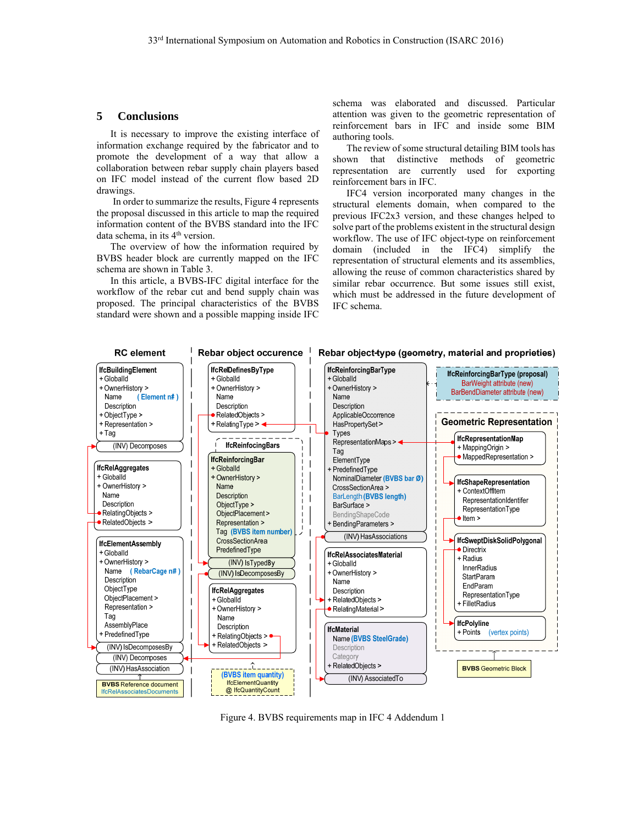## **5 Conclusions**

It is necessary to improve the existing interface of information exchange required by the fabricator and to promote the development of a way that allow a collaboration between rebar supply chain players based on IFC model instead of the current flow based 2D drawings.

 In order to summarize the results, Figure 4 represents the proposal discussed in this article to map the required information content of the BVBS standard into the IFC data schema, in its 4<sup>th</sup> version.

The overview of how the information required by BVBS header block are currently mapped on the IFC schema are shown in Table 3.

In this article, a BVBS-IFC digital interface for the workflow of the rebar cut and bend supply chain was proposed. The principal characteristics of the BVBS standard were shown and a possible mapping inside IFC schema was elaborated and discussed. Particular attention was given to the geometric representation of reinforcement bars in IFC and inside some BIM authoring tools.

The review of some structural detailing BIM tools has shown that distinctive methods of geometric representation are currently used for exporting reinforcement bars in IFC.

IFC4 version incorporated many changes in the structural elements domain, when compared to the previous IFC2x3 version, and these changes helped to solve part of the problems existent in the structural design workflow. The use of IFC object-type on reinforcement domain (included in the IFC4) simplify the representation of structural elements and its assemblies, allowing the reuse of common characteristics shared by similar rebar occurrence. But some issues still exist, which must be addressed in the future development of IFC schema.



Figure 4. BVBS requirements map in IFC 4 Addendum 1